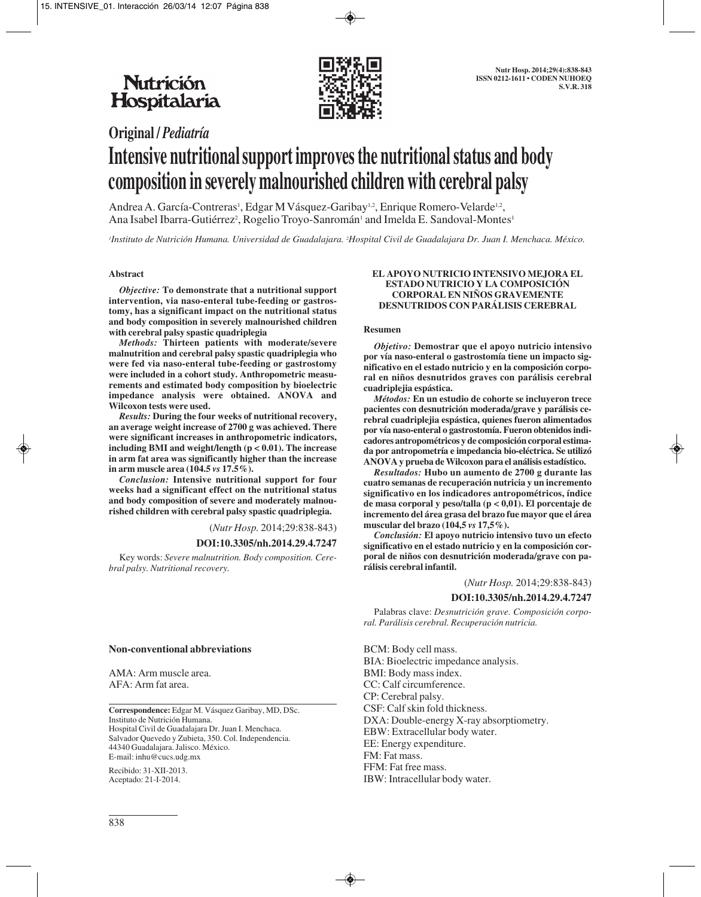

# **Original /** *Pediatría* **Intensive nutritional support improves the nutritional status and body composition in severely malnourished children with cerebral palsy**

Andrea A. García-Contreras<sup>1</sup>, Edgar M Vásquez-Garibay<sup>1,2</sup>, Enrique Romero-Velarde<sup>1,2</sup>, Ana Isabel Ibarra-Gutiérrez<sup>2</sup>, Rogelio Troyo-Sanromán<sup>1</sup> and Imelda E. Sandoval-Montes<sup>1</sup>

*1 Instituto de Nutrición Humana. Universidad de Guadalajara. 2 Hospital Civil de Guadalajara Dr. Juan I. Menchaca. México.* 

#### **Abstract**

*Objective:* **To demonstrate that a nutritional support intervention, via naso-enteral tube-feeding or gastrostomy, has a significant impact on the nutritional status and body composition in severely malnourished children with cerebral palsy spastic quadriplegia** 

*Methods:* **Thirteen patients with moderate/severe malnutrition and cerebral palsy spastic quadriplegia who were fed via naso-enteral tube-feeding or gastrostomy were included in a cohort study. Anthropometric measurements and estimated body composition by bioelectric impedance analysis were obtained. ANOVA and Wilcoxon tests were used.** 

*Results:* **During the four weeks of nutritional recovery, an average weight increase of 2700 g was achieved. There were significant increases in anthropometric indicators, including BMI and weight/length (p < 0.01). The increase in arm fat area was significantly higher than the increase in arm muscle area (104.5** *vs* **17.5%).** 

*Conclusion:* **Intensive nutritional support for four weeks had a significant effect on the nutritional status and body composition of severe and moderately malnourished children with cerebral palsy spastic quadriplegia.**

(*Nutr Hosp.* 2014;29:838-843)

#### **DOI:10.3305/nh.2014.29.4.7247**

Key words: *Severe malnutrition. Body composition. Cerebral palsy. Nutritional recovery.*

#### **Non-conventional abbreviations**

AMA: Arm muscle area. AFA: Arm fat area.

**Correspondence:** Edgar M. Vásquez Garibay, MD, DSc. Instituto de Nutrición Humana. Hospital Civil de Guadalajara Dr. Juan I. Menchaca. Salvador Quevedo y Zubieta, 350. Col. Independencia. 44340 Guadalajara. Jalisco. México. E-mail: inhu@cucs.udg.mx

Recibido: 31-XII-2013. Aceptado: 21-I-2014.

#### **EL APOYO NUTRICIO INTENSIVO MEJORA EL ESTADO NUTRICIO Y LA COMPOSICIÓN CORPORAL EN NIÑOS GRAVEMENTE DESNUTRIDOS CON PARÁLISIS CEREBRAL**

#### **Resumen**

*Objetivo:* **Demostrar que el apoyo nutricio intensivo por vía naso-enteral o gastrostomía tiene un impacto significativo en el estado nutricio y en la composición corporal en niños desnutridos graves con parálisis cerebral cuadriplejia espástica.** 

*Métodos:* **En un estudio de cohorte se incluyeron trece pacientes con desnutrición moderada/grave y parálisis cerebral cuadriplejia espástica, quienes fueron alimentados por vía naso-enteral o gastrostomía. Fueron obtenidos indicadores antropométricos y de composición corporal estimada por antropometría e impedancia bio-eléctrica. Se utilizó ANOVA y prueba de Wilcoxon para el análisis estadístico.** 

*Resultados:* **Hubo un aumento de 2700 g durante las cuatro semanas de recuperación nutricia y un incremento significativo en los indicadores antropométricos, índice de masa corporal y peso/talla (p < 0,01). El porcentaje de incremento del área grasa del brazo fue mayor que el área muscular del brazo (104,5** *vs* **17,5%).**

*Conclusión:* **El apoyo nutricio intensivo tuvo un efecto significativo en el estado nutricio y en la composición corporal de niños con desnutrición moderada/grave con parálisis cerebral infantil.**

#### (*Nutr Hosp.* 2014;29:838-843)

#### **DOI:10.3305/nh.2014.29.4.7247**

Palabras clave: *Desnutrición grave. Composición corporal. Parálisis cerebral. Recuperación nutricia.*

BCM: Body cell mass. BIA: Bioelectric impedance analysis. BMI: Body mass index. CC: Calf circumference. CP: Cerebral palsy. CSF: Calf skin fold thickness. DXA: Double-energy X-ray absorptiometry. EBW: Extracellular body water. EE: Energy expenditure. FM: Fat mass. FFM: Fat free mass. IBW: Intracellular body water.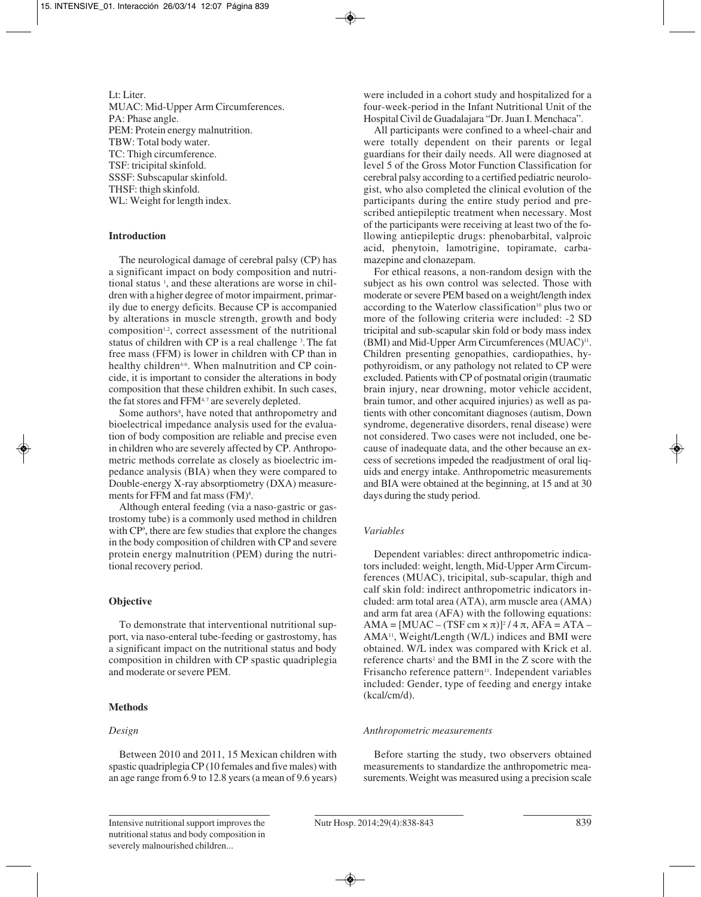Lt: Liter. MUAC: Mid-Upper Arm Circumferences. PA: Phase angle. PEM: Protein energy malnutrition. TBW: Total body water. TC: Thigh circumference. TSF: tricipital skinfold. SSSF: Subscapular skinfold. THSF: thigh skinfold. WL: Weight for length index.

#### **Introduction**

The neurological damage of cerebral palsy (CP) has a significant impact on body composition and nutritional status 1 , and these alterations are worse in children with a higher degree of motor impairment, primarily due to energy deficits. Because CP is accompanied by alterations in muscle strength, growth and body composition<sup>1,2</sup>, correct assessment of the nutritional status of children with CP is a real challenge<sup>3</sup>. The fat free mass (FFM) is lower in children with CP than in healthy children<sup>4-6</sup>. When malnutrition and CP coincide, it is important to consider the alterations in body composition that these children exhibit. In such cases, the fat stores and FFM<sup>4,7</sup> are severely depleted.

Some authors<sup>8</sup>, have noted that anthropometry and bioelectrical impedance analysis used for the evaluation of body composition are reliable and precise even in children who are severely affected by CP. Anthropometric methods correlate as closely as bioelectric impedance analysis (BIA) when they were compared to Double-energy X-ray absorptiometry (DXA) measurements for FFM and fat mass  $(FM)^8$ .

Although enteral feeding (via a naso-gastric or gastrostomy tube) is a commonly used method in children with CP<sup>9</sup>, there are few studies that explore the changes in the body composition of children with CP and severe protein energy malnutrition (PEM) during the nutritional recovery period.

## **Objective**

To demonstrate that interventional nutritional support, via naso-enteral tube-feeding or gastrostomy, has a significant impact on the nutritional status and body composition in children with CP spastic quadriplegia and moderate or severe PEM.

#### **Methods**

#### *Design*

Between 2010 and 2011, 15 Mexican children with spastic quadriplegia CP (10 females and five males) with an age range from 6.9 to 12.8 years (a mean of 9.6 years) were included in a cohort study and hospitalized for a four-week-period in the Infant Nutritional Unit of the Hospital Civil de Guadalajara "Dr. Juan I. Menchaca".

All participants were confined to a wheel-chair and were totally dependent on their parents or legal guardians for their daily needs. All were diagnosed at level 5 of the Gross Motor Function Classification for cerebral palsy according to a certified pediatric neurolo gist, who also completed the clinical evolution of the participants during the entire study period and prescribed antiepileptic treatment when necessary. Most of the participants were receiving at least two of the following antiepileptic drugs: phenobarbital, valproic acid, phenytoin, lamotrigine, topiramate, carbamazepine and clonazepam.

For ethical reasons, a non-random design with the subject as his own control was selected. Those with moderate or severe PEM based on a weight/length index according to the Waterlow classification<sup>10</sup> plus two or more of the following criteria were included: -2 SD tricipital and sub-scapular skin fold or body mass index (BMI) and Mid-Upper Arm Circumferences (MUAC)<sup>11</sup>. Children presenting genopathies, cardiopathies, hypothyroidism, or any pathology not related to CP were excluded. Patients with CP of postnatal origin (traumatic brain injury, near drowning, motor vehicle accident, brain tumor, and other acquired injuries) as well as patients with other concomitant diagnoses (autism, Down syndrome, degenerative disorders, renal disease) were not considered. Two cases were not included, one because of inadequate data, and the other because an excess of secretions impeded the readjustment of oral liquids and energy intake. Anthropometric measurements and BIA were obtained at the beginning, at 15 and at 30 days during the study period.

## *Variables*

Dependent variables: direct anthropometric indicators included: weight, length, Mid-Upper Arm Circumferences (MUAC), tricipital, sub-scapular, thigh and calf skin fold: indirect anthropometric indicators included: arm total area (ATA), arm muscle area (AMA) and arm fat area (AFA) with the following equations:  $AMA = [MUAC - (TSF cm \times \pi)]^2 / 4 \pi$ ,  $AFA = ATA -$ AMA11, Weight/Length (W/L) indices and BMI were obtained. W/L index was compared with Krick et al. reference charts<sup>2</sup> and the BMI in the Z score with the Frisancho reference pattern<sup>11</sup>. Independent variables included: Gender, type of feeding and energy intake (kcal/cm/d).

#### *Anthropometric measurements*

Before starting the study, two observers obtained measurements to standardize the anthropometric measurements.Weight was measured using a precision scale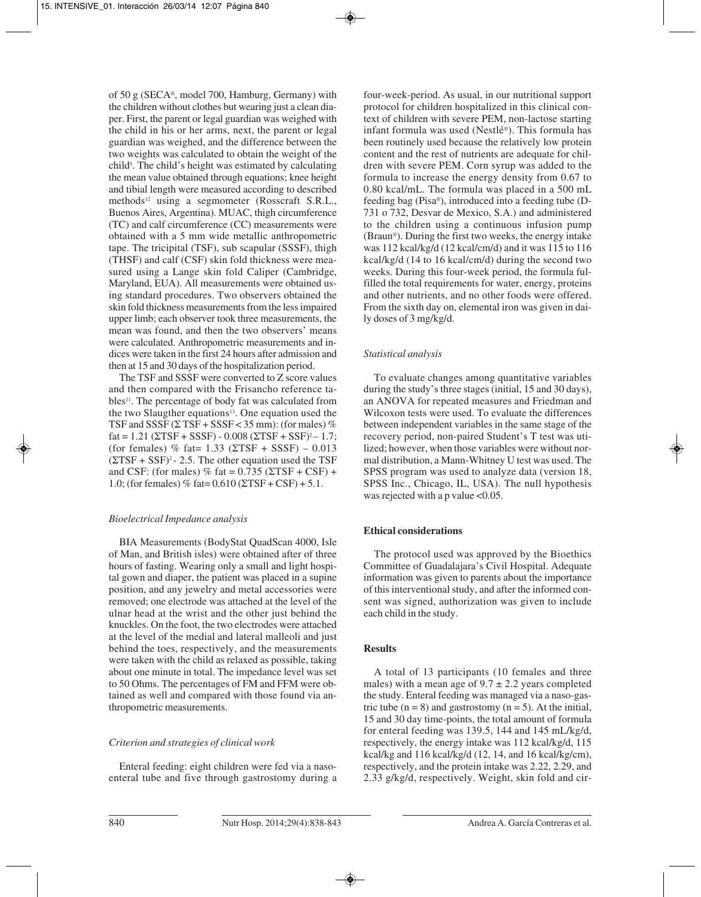of 50 g (SECA®, model 700, Hamburg, Germany) with the children without clothes but wearing just a clean diaper. First, the parent or legal guardian was weighed with the child in his or her arms, next, the parent or legal guardian was weighed, and the difference between the two weights was calculated to obtain the weight of the child5 . The child's height was estimated by calculating the mean value obtained through equations; knee height and tibial length were measured according to described methods<sup>12</sup> using a segmometer (Rosscraft S.R.L., Buenos Aires, Argentina). MUAC, thigh circumference (TC) and calf circumference (CC) measurements were obtained with a 5 mm wide metallic anthropometric tape. The tricipital (TSF), sub scapular (SSSF), thigh (THSF) and calf (CSF) skin fold thickness were measured using a Lange skin fold Caliper (Cambridge, Maryland, EUA). All measurements were obtained using standard procedures. Two observers obtained the skin fold thickness measurements from the less impaired upper limb; each observer took three measurements, the mean was found, and then the two observers' means were calculated. Anthropometric measurements and indices were taken in the first 24 hours after admission and then at 15 and 30 days of the hospitalization period.

The TSF and SSSF were converted to Z score values and then compared with the Frisancho reference tables<sup>11</sup>. The percentage of body fat was calculated from the two Slaugther equations<sup>13</sup>. One equation used the TSF and SSSF  $(\Sigma$  TSF + SSSF < 35 mm): (for males) %  $fat = 1.21$  ( $\Sigma TSF + SSSF$ ) - 0.008 ( $\Sigma TSF + SSF$ )<sup>2</sup> – 1.7; (for females) % fat=  $1.33$  ( $\Sigma TSF + SSSF$ ) – 0.013  $(\Sigma TSF + SSF)^2 - 2.5$ . The other equation used the TSF and CSF: (for males) % fat =  $0.735$  ( $\Sigma$ TSF + CSF) + 1.0; (for females) % fat=  $0.610$  ( $\Sigma$ TSF + CSF) + 5.1.

# *Bioelectrical Impedance analysis*

BIA Measurements (BodyStat QuadScan 4000, Isle of Man, and British isles) were obtained after of three hours of fasting. Wearing only a small and light hospital gown and diaper, the patient was placed in a supine position, and any jewelry and metal accessories were removed; one electrode was attached at the level of the ulnar head at the wrist and the other just behind the knuckles. On the foot, the two electrodes were attached at the level of the medial and lateral malleoli and just behind the toes, respectively, and the measurements were taken with the child as relaxed as possible, taking about one minute in total. The impedance level was set to 50 Ohms. The percentages of FM and FFM were obtained as well and compared with those found via anthropometric measurements.

# *Criterion and strategies of clinical work*

Enteral feeding: eight children were fed via a nasoenteral tube and five through gastrostomy during a four-week-period. As usual, in our nutritional support protocol for children hospitalized in this clinical context of children with severe PEM, non-lactose starting infant formula was used (Nestlé®). This formula has been routinely used because the relatively low protein content and the rest of nutrients are adequate for children with severe PEM. Corn syrup was added to the formula to increase the energy density from 0.67 to 0.80 kcal/mL. The formula was placed in a 500 mL feeding bag (Pisa®), introduced into a feeding tube (D-731 o 732, Desvar de Mexico, S.A.) and administered to the children using a continuous infusion pump (Braun®). During the first two weeks, the energy intake was 112 kcal/kg/d (12 kcal/cm/d) and it was 115 to 116 kcal/kg/d (14 to 16 kcal/cm/d) during the second two weeks. During this four-week period, the formula fulfilled the total requirements for water, energy, proteins and other nutrients, and no other foods were offered. From the sixth day on, elemental iron was given in daily doses of 3 mg/kg/d.

# *Statistical analysis*

To evaluate changes among quantitative variables during the study's three stages (initial, 15 and 30 days), an ANOVA for repeated measures and Friedman and Wilcoxon tests were used. To evaluate the differences between independent variables in the same stage of the recovery period, non-paired Student's T test was utilized; however, when those variables were without normal distribution, a Mann-Whitney U test was used. The SPSS program was used to analyze data (version 18, SPSS Inc., Chicago, IL, USA). The null hypothesis was rejected with a p value  $<0.05$ .

# **Ethical considerations**

The protocol used was approved by the Bioethics Committee of Guadalajara's Civil Hospital. Adequate information was given to parents about the importance of this interventional study, and after the informed consent was signed, authorization was given to include each child in the study.

# **Results**

A total of 13 participants (10 females and three males) with a mean age of  $9.7 \pm 2.2$  years completed the study. Enteral feeding was managed via a naso-gastric tube  $(n = 8)$  and gastrostomy  $(n = 5)$ . At the initial, 15 and 30 day time-points, the total amount of formula for enteral feeding was 139.5, 144 and 145 mL/kg/d, respectively, the energy intake was 112 kcal/kg/d, 115 kcal/kg and 116 kcal/kg/d (12, 14, and 16 kcal/kg/cm), respectively, and the protein intake was 2.22, 2.29, and 2.33 g/kg/d, respectively. Weight, skin fold and cir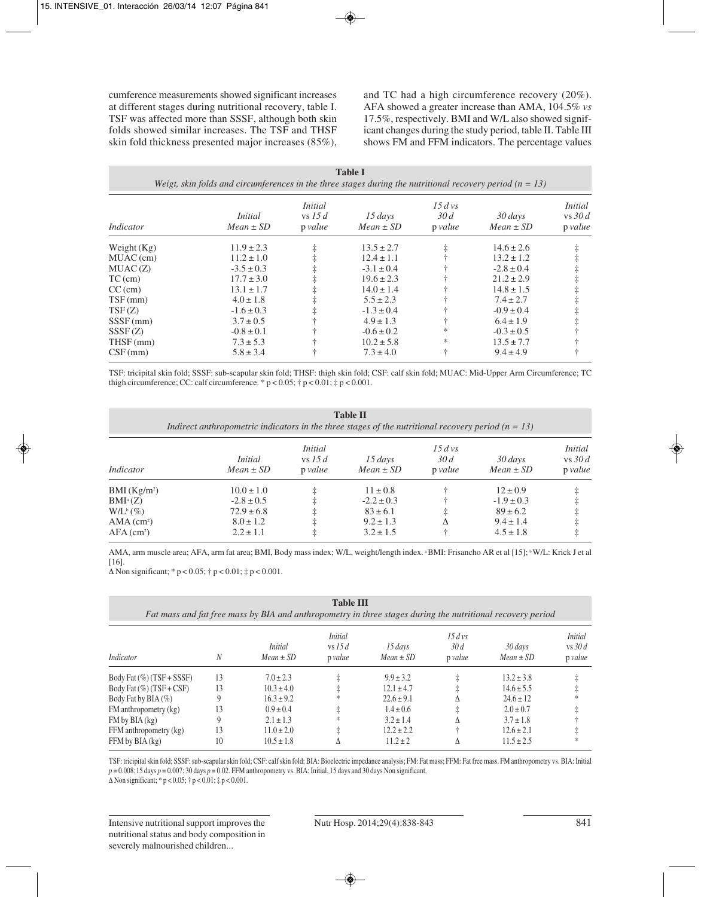cumference measurements showed significant increases at different stages during nutritional recovery, table I. TSF was affected more than SSSF, although both skin folds showed similar increases. The TSF and THSF skin fold thickness presented major increases (85%), and TC had a high circumference recovery (20%). AFA showed a greater increase than AMA, 104.5% *vs* 17.5%, respectively. BMI and W/L also showed significant changes during the study period, table II. Table III shows FM and FFM indicators. The percentage values

| <b>Table I</b><br>Weigt, skin folds and circumferences in the three stages during the nutritional recovery period ( $n = 13$ ) |                                 |                                        |                               |                               |                          |                                       |  |  |
|--------------------------------------------------------------------------------------------------------------------------------|---------------------------------|----------------------------------------|-------------------------------|-------------------------------|--------------------------|---------------------------------------|--|--|
| Indicator                                                                                                                      | <i>Initial</i><br>$Mean \pm SD$ | <i>Initial</i><br>vs 15 $d$<br>p value | $15 \, days$<br>$Mean \pm SD$ | $15\,$ d vs<br>30d<br>p value | 30 days<br>$Mean \pm SD$ | <i>Initial</i><br>vs $30d$<br>p value |  |  |
| Weight $(Kg)$                                                                                                                  | $11.9 \pm 2.3$                  | ŧ                                      | $13.5 \pm 2.7$                | ŧ                             | $14.6 \pm 2.6$           | ŧ                                     |  |  |
| MUAC (cm)                                                                                                                      | $11.2 \pm 1.0$                  | $\ddagger$                             | $12.4 \pm 1.1$                |                               | $13.2 \pm 1.2$           | $\ddagger$                            |  |  |
| MUAC(Z)                                                                                                                        | $-3.5 \pm 0.3$                  |                                        | $-3.1 \pm 0.4$                |                               | $-2.8 \pm 0.4$           |                                       |  |  |
| $TC$ (cm)                                                                                                                      | $17.7 \pm 3.0$                  |                                        | $19.6 \pm 2.3$                |                               | $21.2 \pm 2.9$           |                                       |  |  |
| $CC$ (cm)                                                                                                                      | $13.1 \pm 1.7$                  | ŧ                                      | $14.0 \pm 1.4$                |                               | $14.8 \pm 1.5$           |                                       |  |  |
| $TSF$ (mm)                                                                                                                     | $4.0 \pm 1.8$                   |                                        | $5.5 \pm 2.3$                 |                               | $7.4 \pm 2.7$            |                                       |  |  |
| TSF(Z)                                                                                                                         | $-1.6 \pm 0.3$                  |                                        | $-1.3 \pm 0.4$                |                               | $-0.9 \pm 0.4$           |                                       |  |  |
| $SSSF$ (mm)                                                                                                                    | $3.7 \pm 0.5$                   |                                        | $4.9 \pm 1.3$                 |                               | $6.4 \pm 1.9$            |                                       |  |  |
| SSSF(Z)                                                                                                                        | $-0.8 \pm 0.1$                  |                                        | $-0.6 \pm 0.2$                | *                             | $-0.3 \pm 0.5$           |                                       |  |  |
| $THSF$ (mm)                                                                                                                    | $7.3 \pm 5.3$                   |                                        | $10.2 \pm 5.8$                | *                             | $13.5 \pm 7.7$           |                                       |  |  |
| $CSF$ (mm)                                                                                                                     | $5.8 \pm 3.4$                   |                                        | $7.3 \pm 4.0$                 | ÷                             | $9.4 \pm 4.9$            |                                       |  |  |

TSF: tricipital skin fold; SSSF: sub-scapular skin fold; THSF: thigh skin fold; CSF: calf skin fold; MUAC: Mid-Upper Arm Circumference; TC thigh circumference; CC: calf circumference. \*  $p < 0.05$ ;  $\dagger p < 0.01$ ;  $\ddagger p < 0.001$ .

| <b>Table II</b><br>Indirect anthropometric indicators in the three stages of the nutritional recovery period ( $n = 13$ ) |                                                                                      |                                        |                                                                                  |                               |                                                                                  |                                       |  |  |
|---------------------------------------------------------------------------------------------------------------------------|--------------------------------------------------------------------------------------|----------------------------------------|----------------------------------------------------------------------------------|-------------------------------|----------------------------------------------------------------------------------|---------------------------------------|--|--|
| Indicator                                                                                                                 | <i>Initial</i><br>$Mean \pm SD$                                                      | <i>Initial</i><br>vs 15 $d$<br>p value | $15 \, days$<br>$Mean \pm SD$                                                    | $15\,$ d vs<br>30d<br>p value | 30 days<br>$Mean \pm SD$                                                         | <i>Initial</i><br>vs $30d$<br>p value |  |  |
| BMI(Kg/m <sup>2</sup> )<br>$BMI^a(Z)$<br>$W/L^b(\%)$<br>$AMA$ (cm <sup>2</sup> )<br>$AFA$ (cm <sup>2</sup> )              | $10.0 \pm 1.0$<br>$-2.8 \pm 0.5$<br>$72.9 \pm 6.8$<br>$8.0 \pm 1.2$<br>$2.2 \pm 1.1$ | ŧ<br>ŧ<br>ŧ<br>ŧ                       | $11 \pm 0.8$<br>$-2.2 \pm 0.3$<br>$83 \pm 6.1$<br>$9.2 \pm 1.3$<br>$3.2 \pm 1.5$ | ŧ<br>Δ<br>÷                   | $12 \pm 0.9$<br>$-1.9 \pm 0.3$<br>$89 \pm 6.2$<br>$9.4 \pm 1.4$<br>$4.5 \pm 1.8$ |                                       |  |  |

AMA, arm muscle area; AFA, arm fat area; BMI, Body mass index; W/L, weight/length index. <sup>a</sup>BMI: Frisancho AR et al [15]; <sup>b</sup>W/L: Krick J et al [16].

Δ Non significant; \* p < 0.05; † p < 0.01; ‡ p < 0.001.

| <b>Table III</b><br>Fat mass and fat free mass by BIA and anthropometry in three stages during the nutritional recovery period |    |                                 |                                     |                          |                                |                          |                                        |
|--------------------------------------------------------------------------------------------------------------------------------|----|---------------------------------|-------------------------------------|--------------------------|--------------------------------|--------------------------|----------------------------------------|
| Indicator                                                                                                                      | N  | <i>Initial</i><br>$Mean \pm SD$ | <i>Initial</i><br>vs 15d<br>p value | 15 days<br>$Mean \pm SD$ | $15 \,$ d vs<br>30d<br>p value | 30 days<br>$Mean \pm SD$ | <i>Initial</i><br>$vs$ 30 d<br>p value |
| Body Fat $(\%)(TSF + SSSF)$                                                                                                    | 13 | $7.0 \pm 2.3$                   |                                     | $9.9 \pm 3.2$            |                                | $13.2 \pm 3.8$           |                                        |
| Body Fat $(\%)$ (TSF + CSF)                                                                                                    | 13 | $10.3 \pm 4.0$                  |                                     | $12.1 \pm 4.7$           |                                | $14.6 \pm 5.5$           |                                        |
| Body Fat by BIA (%)                                                                                                            |    | $16.3 \pm 9.2$                  |                                     | $22.6 \pm 9.1$           |                                | $24.6 \pm 12$            | *                                      |
| FM anthropometry (kg)                                                                                                          | 13 | $0.9 \pm 0.4$                   |                                     | $1.4 \pm 0.6$            |                                | $2.0 \pm 0.7$            |                                        |
| $FM$ by $BIA$ $(kg)$                                                                                                           |    | $2.1 \pm 1.3$                   |                                     | $3.2 \pm 1.4$            |                                | $3.7 \pm 1.8$            |                                        |
| FFM anthropometry (kg)                                                                                                         | 13 | $11.0 \pm 2.0$                  |                                     | $12.2 \pm 2.2$           |                                | $12.6 \pm 2.1$           |                                        |
| FFM by BIA (kg)                                                                                                                | 10 | $10.5 \pm 1.8$                  |                                     | $11.2 \pm 2$             |                                | $11.5 \pm 2.5$           | *                                      |

TSF: tricipital skin fold; SSSF: sub-scapular skin fold; CSF: calf skin fold; BIA: Bioelectric impedance analysis; FM: Fat mass; FFM: Fat free mass. FM anthropometry vs. BIA: Initial *p* = 0.008;15 days *p* = 0.007; 30 days *p* = 0.02. FFM anthropometry vs. BIA: Initial, 15 days and 30 days Non significant.

 $\Delta$  Non significant; \* p < 0.05; † p < 0.01; ‡ p < 0.001.

Intensive nutritional support improves the nutritional status and body composition in severely malnourished children...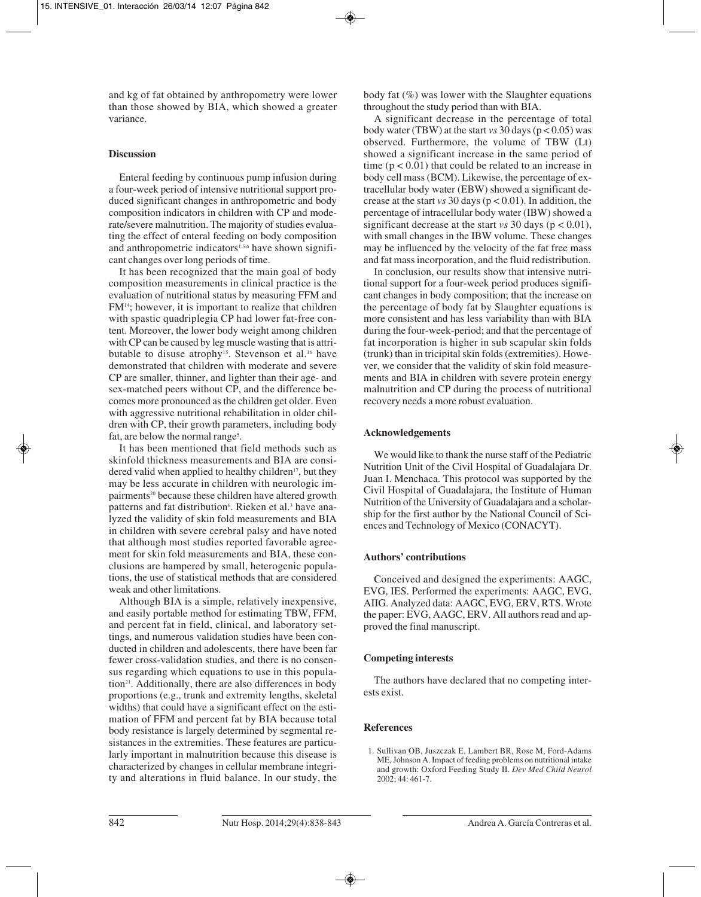and kg of fat obtained by anthropometry were lower than those showed by BIA, which showed a greater variance.

## **Discussion**

Enteral feeding by continuous pump infusion during a four-week period of intensive nutritional support produced significant changes in anthropometric and body composition indicators in children with CP and mode rate/severe malnutrition. The majority of studies evalua ting the effect of enteral feeding on body composition and anthropometric indicators<sup>1,5,6</sup> have shown significant changes over long periods of time.

It has been recognized that the main goal of body composition measurements in clinical practice is the evaluation of nutritional status by measuring FFM and FM14; however, it is important to realize that children with spastic quadriplegia CP had lower fat-free content. Moreover, the lower body weight among children with CP can be caused by leg muscle wasting that is attributable to disuse atrophy<sup>15</sup>. Stevenson et al.<sup>16</sup> have demonstrated that children with moderate and severe CP are smaller, thinner, and lighter than their age- and sex-matched peers without CP, and the difference becomes more pronounced as the children get older. Even with aggressive nutritional rehabilitation in older children with CP, their growth parameters, including body fat, are below the normal range<sup>5</sup>.

It has been mentioned that field methods such as skinfold thickness measurements and BIA are consi dered valid when applied to healthy children<sup>17</sup>, but they may be less accurate in children with neurologic impairments<sup>20</sup> because these children have altered growth patterns and fat distribution<sup>6</sup>. Rieken et al.<sup>3</sup> have analyzed the validity of skin fold measurements and BIA in children with severe cerebral palsy and have noted that although most studies reported favorable agreement for skin fold measurements and BIA, these conclusions are hampered by small, heterogenic populations, the use of statistical methods that are considered weak and other limitations.

Although BIA is a simple, relatively inexpensive, and easily portable method for estimating TBW, FFM, and percent fat in field, clinical, and laboratory settings, and numerous validation studies have been conducted in children and adolescents, there have been far fewer cross-validation studies, and there is no consensus regarding which equations to use in this population<sup>21</sup>. Additionally, there are also differences in body proportions (e.g., trunk and extremity lengths, skeletal widths) that could have a significant effect on the estimation of FFM and percent fat by BIA because total body resistance is largely determined by segmental resistances in the extremities. These features are particularly important in malnutrition because this disease is characterized by changes in cellular membrane integrity and alterations in fluid balance. In our study, the

body fat  $(\%)$  was lower with the Slaughter equations throughout the study period than with BIA.

A significant decrease in the percentage of total body water (TBW) at the start *vs* 30 days (p < 0.05) was observed. Furthermore, the volume of TBW (Lt) showed a significant increase in the same period of time  $(p < 0.01)$  that could be related to an increase in body cell mass (BCM). Likewise, the percentage of extracellular body water (EBW) showed a significant decrease at the start *vs* 30 days (p < 0.01). In addition, the percentage of intracellular body water (IBW) showed a significant decrease at the start *vs* 30 days ( $p < 0.01$ ), with small changes in the IBW volume. These changes may be influenced by the velocity of the fat free mass and fat mass incorporation, and the fluid redistribution.

In conclusion, our results show that intensive nutritional support for a four-week period produces significant changes in body composition; that the increase on the percentage of body fat by Slaughter equations is more consistent and has less variability than with BIA during the four-week-period; and that the percentage of fat incorporation is higher in sub scapular skin folds (trunk) than in tricipital skin folds (extremities). Howe ver, we consider that the validity of skin fold measurements and BIA in children with severe protein energy malnutrition and CP during the process of nutritional recovery needs a more robust evaluation.

## **Acknowledgements**

We would like to thank the nurse staff of the Pediatric Nutrition Unit of the Civil Hospital of Guadalajara Dr. Juan I. Menchaca. This protocol was supported by the Civil Hospital of Guadalajara, the Institute of Human Nutrition of the University of Guadalajara and a scholar ship for the first author by the National Council of Sciences and Technology of Mexico (CONACYT).

## **Authors' contributions**

Conceived and designed the experiments: AAGC, EVG, IES. Performed the experiments: AAGC, EVG, AIIG. Analyzed data: AAGC, EVG, ERV, RTS. Wrote the paper: EVG, AAGC, ERV. All authors read and approved the final manuscript.

# **Competing interests**

The authors have declared that no competing interests exist.

# **References**

<sup>1.</sup> Sullivan OB, Juszczak E, Lambert BR, Rose M, Ford-Adams ME, Johnson A. Impact of feeding problems on nutritional intake and growth: Oxford Feeding Study II. *Dev Med Child Neurol* 2002; 44: 461-7.